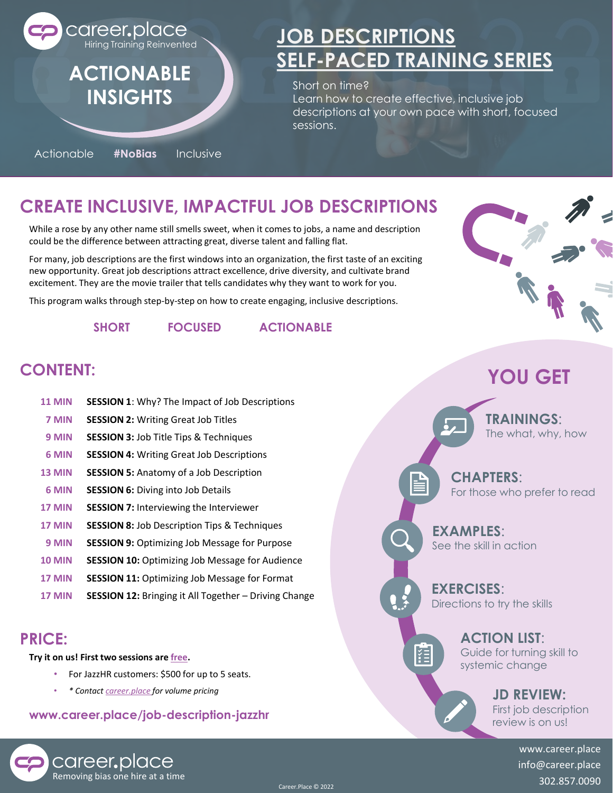

Actionable **#NoBias** Inclusive

# **[JOB DESCRIPTIONS](https://www.career.place/sp-job-description-free) [SELF-PACED TRAINING SERIES](https://www.career.place/sp-job-description-free)**

Short on time? Learn how to create effective, inclusive job descriptions at your own pace with short, focused sessions.

# **CREATE INCLUSIVE, IMPACTFUL JOB DESCRIPTIONS**

While a rose by any other name still smells sweet, when it comes to jobs, a name and description could be the difference between attracting great, diverse talent and falling flat.

For many, job descriptions are the first windows into an organization, the first taste of an exciting new opportunity. Great job descriptions attract excellence, drive diversity, and cultivate brand excitement. They are the movie trailer that tells candidates why they want to work for you.

This program walks through step-by-step on how to create engaging, inclusive descriptions.

**SHORT FOCUSED ACTIONABLE**

## **CONTENT:**

**SESSION 1**: Why? The Impact of Job Descriptions **SESSION 2: Writing Great Job Titles SESSION 3:** Job Title Tips & Techniques **SESSION 4:** Writing Great Job Descriptions **SESSION 5:** Anatomy of a Job Description **SESSION 6: Diving into Job Details SESSION 7:** Interviewing the Interviewer **SESSION 8:** Job Description Tips & Techniques **SESSION 9:** Optimizing Job Message for Purpose **SESSION 10:** Optimizing Job Message for Audience **SESSION 11:** Optimizing Job Message for Format **SESSION 12:** Bringing it All Together – Driving Change **11 MIN 7 MIN 9 MIN 6 MIN 13 MIN 6 MIN 17 MIN 17 MIN 9 MIN 10 MIN 17 MIN 17 MIN**

### **PRICE:**

**Try it on us! First two sessions are [free](https://www.career.place/sp-job-description-free).**

career.place

- For JazzHR customers: \$500 for up to 5 seats.
- *\* Contact [career.place](mailto:info@career.place?subject=Job%20description%20pricing%20inquiry%20) for volume pricing*

### **www.career.place/job-description-jazzhr**



# **YOU GET**

**TRAININGS**: The what, why, how

**CHAPTERS**: For those who prefer to read

**EXAMPLES**: See the skill in action

 $\mathbf{P}$ 

拒

**EXERCISES**: Directions to try the skills

### **ACTION LIST**:

Guide for turning skill to systemic change

## **JD REVIEW:**

First job description review is on us!

www.career.place info@career.place a semoving bias one hire at a time<br>302.857.0090 **Removing bias one hire at a time**